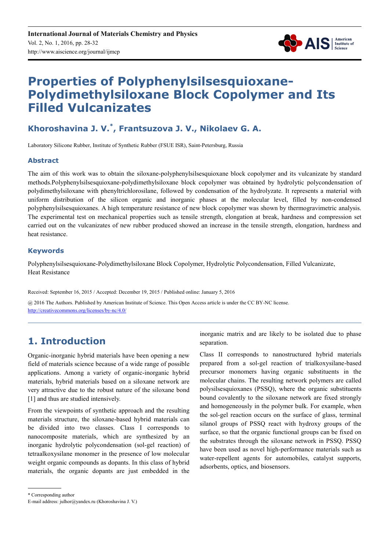

# **Properties of Polyphenylsilsesquioxane-Polydimethylsiloxane Block Copolymer and Its Filled Vulcanizates**

# **Khoroshavina J. V.\* , Frantsuzova J. V., Nikolaev G. A.**

Laboratory Silicone Rubber, Institute of Synthetic Rubber (FSUE ISR), Saint-Petersburg, Russia

### **Abstract**

The aim of this work was to obtain the siloxane-polyphenylsilsesquioxane block copolymer and its vulcanizate by standard methods.Polyphenylsilsesquioxane-polydimethylsiloxane block copolymer was obtained by hydrolytic polycondensation of polydimethylsiloxane with phenyltrichlorosilane, followed by condensation of the hydrolyzate. It represents a material with uniform distribution of the silicon organic and inorganic phases at the molecular level, filled by non-condensed polyphenylsilsesquioxanes. A high temperature resistance of new block copolymer was shown by thermogravimetric analysis. The experimental test on mechanical properties such as tensile strength, elongation at break, hardness and compression set carried out on the vulcanizates of new rubber produced showed an increase in the tensile strength, elongation, hardness and heat resistance.

### **Keywords**

Polyphenylsilsesquioxane-Polydimethylsiloxane Block Copolymer, Hydrolytic Polycondensation, Filled Vulcanizate, Heat Resistance

Received: September 16, 2015 / Accepted: December 19, 2015 / Published online: January 5, 2016

@ 2016 The Authors. Published by American Institute of Science. This Open Access article is under the CC BY-NC license. http://creativecommons.org/licenses/by-nc/4.0/

# **1. Introduction**

Organic-inorganic hybrid materials have been opening a new field of materials science because of a wide range of possible applications. Among a variety of organic-inorganic hybrid materials, hybrid materials based on a siloxane network are very attractive due to the robust nature of the siloxane bond [1] and thus are studied intensively.

From the viewpoints of synthetic approach and the resulting materials structure, the siloxane-based hybrid materials can be divided into two classes. Class I corresponds to nanocomposite materials, which are synthesized by an inorganic hydrolytic polycondensation (sol-gel reaction) of tetraalkoxysilane monomer in the presence of low molecular weight organic compounds as dopants. In this class of hybrid materials, the organic dopants are just embedded in the inorganic matrix and are likely to be isolated due to phase separation.

Class II corresponds to nanostructured hybrid materials prepared from a sol-gel reaction of trialkoxysilane-based precursor monomers having organic substituents in the molecular chains. The resulting network polymers are called polysilsesquioxanes (PSSQ), where the organic substituents bound covalently to the siloxane network are fixed strongly and homogeneously in the polymer bulk. For example, when the sol-gel reaction occurs on the surface of glass, terminal silanol groups of PSSQ react with hydroxy groups of the surface, so that the organic functional groups can be fixed on the substrates through the siloxane network in PSSQ. PSSQ have been used as novel high-performance materials such as water-repellent agents for automobiles, catalyst supports, adsorbents, optics, and biosensors.

\* Corresponding author

E-mail address: julhor@yandex.ru (Khoroshavina J. V.)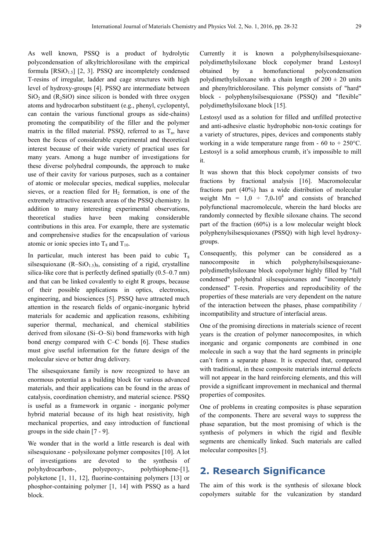As well known, PSSQ is a product of hydrolytic polycondensation of alkyltrichlorosilane with the empirical formula  $[RSiO<sub>1.5</sub>]$  [2, 3]. PSSQ are incompletely condensed T-resins of irregular, ladder and cage structures with high level of hydroxy-groups [4]. PSSQ are intermediate between  $SiO<sub>2</sub>$  and (R<sub>2</sub>SiO) since silicon is bonded with three oxygen atoms and hydrocarbon substituent (e.g., phenyl, cyclopentyl, can contain the various functional groups as side-chains) promoting the compatibility of the filler and the polymer matrix in the filled material. PSSQ, referred to as  $T<sub>n</sub>$ , have been the focus of considerable experimental and theoretical interest because of their wide variety of practical uses for many years. Among a huge number of investigations for these diverse polyhedral compounds, the approach to make use of their cavity for various purposes, such as a container of atomic or molecular species, medical supplies, molecular sieves, or a reaction filed for  $H<sub>2</sub>$  formation, is one of the extremely attractive research areas of the PSSQ chemistry. In addition to many interesting experimental observations, theoretical studies have been making considerable contributions in this area. For example, there are systematic and comprehensive studies for the encapsulation of various atomic or ionic species into  $T_8$  and  $T_{10}$ .

In particular, much interest has been paid to cubic  $T_8$ silsesquioxane  $(R-SiO<sub>1.5</sub>)_8$ , consisting of a rigid, crystalline silica-like core that is perfectly defined spatially (0.5–0.7 nm) and that can be linked covalently to eight R groups, because of their possible applications in optics, electronics, engineering, and biosciences [5]. PSSQ have attracted much attention in the research fields of organic-inorganic hybrid materials for academic and application reasons, exhibiting superior thermal, mechanical, and chemical stabilities derived from siloxane (Si–O–Si) bond frameworks with high bond energy compared with C–C bonds [6]. These studies must give useful information for the future design of the molecular sieve or better drug delivery.

The silsesquioxane family is now recognized to have an enormous potential as a building block for various advanced materials, and their applications can be found in the areas of catalysis, coordination chemistry, and material science. PSSQ is useful as a framework in organic - inorganic polymer hybrid material because of its high heat resistivity, high mechanical properties, and easy introduction of functional groups in the side chain [7 - 9].

We wonder that in the world a little research is deal with silsesquioxane - polysiloxane polymer composites [10]. A lot of investigations are devoted to the synthesis of polyhydrocarbon-, polyepoxy-, polythiophene-[1], polyketone [1, 11, 12], fluorine-containing polymers [13] or phosphor-containing polymer [1, 14] with PSSQ as a hard block.

Currently it is known a polyphenylsilsesquioxanepolydimethylsiloxane block copolymer brand Lestosyl obtained by a homofunctional polycondensation polydimethylsiloxane with a chain length of  $200 \pm 20$  units and phenyltrichlorosilane. This polymer consists of "hard" block - polyphenylsilsesquioxane (PSSQ) and "flexible" polydimethylsiloxane block [15].

Lestosyl used as a solution for filled and unfilled protective and anti-adhesive elastic hydrophobic non-toxic coatings for a variety of structures, pipes, devices and components stably working in a wide temperature range from  $-60$  to  $+250^{\circ}$ C. Lestosyl is a solid amorphous crumb, it's impossible to mill it.

It was shown that this block copolymer consists of two fractions by fractional analysis [16]. Macromolecular fractions part (40%) has a wide distribution of molecular weight  $Mn = 1,0 \div 7,0.10^4$  and consists of branched polyfunctional macromolecule, wherein the hard blocks are randomly connected by flexible siloxane chains. The second part of the fraction (60%) is a low molecular weight block polyphenylsilsesquioxanes (PSSQ) with high level hydroxygroups.

Consequently, this polymer can be considered as a nanocomposite in which polyphenylsilsesquioxanepolydimethylsiloxane block copolymer highly filled by "full condensed" polyhedral silsesquioxanes and "incompletely condensed" T-resin. Properties and reproducibility of the properties of these materials are very dependent on the nature of the interaction between the phases, phase compatibility / incompatibility and structure of interfacial areas.

One of the promising directions in materials science of recent years is the creation of polymer nanocomposites, in which inorganic and organic components are combined in one molecule in such a way that the hard segments in principle can't form a separate phase. It is expected that, compared with traditional, in these composite materials internal defects will not appear in the hard reinforcing elements, and this will provide a significant improvement in mechanical and thermal properties of composites.

One of problems in creating composites is phase separation of the components. There are several ways to suppress the phase separation, but the most promising of which is the synthesis of polymers in which the rigid and flexible segments are chemically linked. Such materials are called molecular composites [5].

# **2. Research Significance**

The aim of this work is the synthesis of siloxane block copolymers suitable for the vulcanization by standard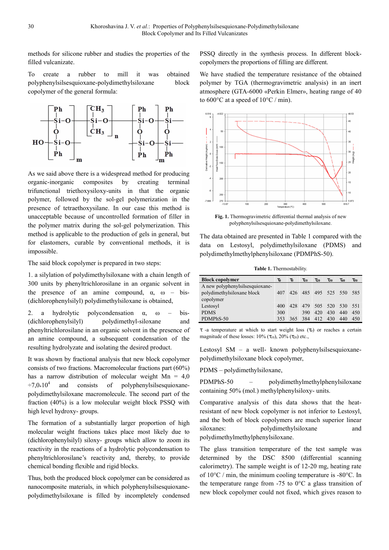methods for silicone rubber and studies the properties of the filled vulcanizate.

To create a rubber to mill it was obtained polyphenylsilsesquioxane-polydimethylsiloxane block copolymer of the general formula:



As we said above there is a widespread method for producing organic-inorganic composites by creating terminal trifunctional triethoxysiloxy-units in that the organic polymer, followed by the sol-gel polymerization in the presence of tetraethoxysilane. In our case this method is unacceptable because of uncontrolled formation of filler in the polymer matrix during the sol-gel polymerization. This method is applicable to the production of gels in general, but for elastomers, curable by conventional methods, it is impossible.

The said block copolymer is prepared in two steps:

1. a silylation of polydimethylsiloxane with a chain length of 300 units by phenyltrichlorosilane in an organic solvent in the presence of an amine compound,  $\alpha$ ,  $\omega$  – bis-(dichlorophenylsilyl) polydimethylsiloxane is obtained,

2. a hydrolytic polycondensation  $\alpha$ ,  $\omega$  – bis-(dichlorophenylsilyl) polydimethyl-siloxane and phenyltrichlorosilane in an organic solvent in the presence of an amine compound, a subsequent condensation of the resulting hydrolyzate and isolating the desired product.

It was shown by fractional analysis that new block copolymer consists of two fractions. Macromolecular fractions part (60%) has a narrow distribution of molecular weight  $Mn = 4.0$  $\div 7.0*10^4$  and consists of polyphenylsilsesquioxanepolydimethylsiloxane macromolecule. The second part of the fraction (40%) is a low molecular weight block PSSQ with high level hydroxy- groups.

The formation of a substantially larger proportion of high molecular weight fractions takes place most likely due to (dichlorophenylsilyl) siloxy- groups which allow to zoom its reactivity in the reactions of a hydrolytic polycondensation to phenyltrichlorosilane's reactivity and, thereby, to provide chemical bonding flexible and rigid blocks.

Thus, both the produced block copolymer can be considered as nanocomposite materials, in which polyphenylsilsesquioxanepolydimethylsiloxane is filled by incompletely condensed PSSQ directly in the synthesis process. In different blockcopolymers the proportions of filling are different.

We have studied the temperature resistance of the obtained polymer by TGA (thermogravimetric analysis) in an inert atmosphere (GTA-6000 «Perkin Elmer», heating range of 40 to 600°C at a speed of 10°C / min).



**Fig. 1.** Thermogravimetric differential thermal analysis of new polyphenylsilsesquioxane-polydimethylsiloxane.

The data obtained are presented in Table 1 compared with the data on Lestosyl, polydimethylsiloxane (PDMS) and polydimethylmethylphenylsiloxane (PDMPhS-50).

**Table 1.** Thermostability.

| <b>Block copolymer</b>          | $\tau_0$ | Т.   | $\tau_{10}$             | $\tau_{20}$     | $\tau_{30}$ | $\tau_{40}$ | $\tau_{50}$ |
|---------------------------------|----------|------|-------------------------|-----------------|-------------|-------------|-------------|
| A new polyphenylsilsesquioxane- |          |      |                         |                 |             |             |             |
| polydimethylsiloxane block      | 407      |      | 426 485 495 525 550 585 |                 |             |             |             |
| copolymer                       |          |      |                         |                 |             |             |             |
| Lestosyl                        | 400      | 42.8 |                         | 479 505 520 530 |             |             | 551         |
| <b>PDMS</b>                     | 300      |      | 390                     | 420             | 430         | 440         | 450         |
| PDMPhS-50                       | 353      | 365  | 384                     | 412             | 430         | 440         | 450         |

τ -a temperature at which to start weight loss (τ<sub>0</sub>) or reaches a certain magnitude of these losses:  $10\%$  ( $\tau_{10}$ ),  $20\%$  ( $\tau_{20}$ ) etc.,

Lestosyl SM – a well- known polyphenylsilsesquioxanepolydimethylsiloxane block copolymer,

PDMS – polydimethylsiloxane,

PDMPhS-50 – polydimethylmethylphenylsiloxane containing 50% (mol.) methylphenylsiloxy- units.

Comparative analysis of this data shows that the heatresistant of new block copolymer is not inferior to Lestosyl, and the both of block copolymers are much superior linear siloxanes: polydimethylsiloxane and polydimethylmethylphenylsiloxane.

The glass transition temperature of the test sample was determined by the DSC 8500 (differential scanning calorimetry). The sample weight is of 12-20 mg, heating rate of 10°C / min, the minimum cooling temperature is -80°C. In the temperature range from  $-75$  to  $0^{\circ}$ C a glass transition of new block copolymer could not fixed, which gives reason to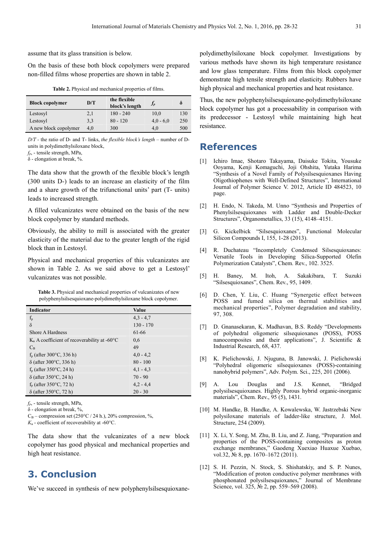assume that its glass transition is below.

On the basis of these both block copolymers were prepared non-filled films whose properties are shown in table 2.

| <b>Table 2.</b> Physical and mechanical properties of films. |  |
|--------------------------------------------------------------|--|
|--------------------------------------------------------------|--|

| <b>Block copolymer</b> | D/T | the flexible<br>block's length | $J_P$       | δ   |
|------------------------|-----|--------------------------------|-------------|-----|
| Lestosyl               | 2,1 | $180 - 240$                    | 10.0        | 130 |
| Lestosyl               | 3,3 | $80 - 120$                     | $4.0 - 6.0$ | 250 |
| A new block copolymer  | 4.0 | 300                            | 4.0         | 500 |

*D/T -* the ratio of D- and T- links, *the flexible block's length* – number of Dunits in polydimethylsiloxane block,

*fр*, - tensile strength, MPa,

δ - elongation at break, %.

The data show that the growth of the flexible block's length (300 units D-) leads to an increase an elasticity of the film and a share growth of the trifunctional units' part (T- units) leads to increased strength.

A filled vulcanizates were obtained on the basis of the new block copolymer by standard methods.

Obviously, the ability to mill is associated with the greater elasticity of the material due to the greater length of the rigid block than in Lestosyl.

Physical and mechanical properties of this vulcanizates are shown in Table 2. As we said above to get a Lestosyl' vulcanizates was not possible.

**Table 3.** Physical and mechanical properties of vulcanizates of new polyphenylsilsesquioxane-polydimethylsiloxane block copolymer.

| Indicator                                                   | Value       |
|-------------------------------------------------------------|-------------|
| $f_{\rm p}$                                                 | $4,3 - 4,7$ |
| $\delta$                                                    | $130 - 170$ |
| Shore A Hardness                                            | 61-66       |
| $KB$ A coefficient of recoverability at -60 $\rm ^{\circ}C$ | 0.6         |
| $C_{B}$                                                     | 49          |
| $f_n$ (after 300 $\degree$ C, 336 h)                        | $4,0 - 4,2$ |
| $\delta$ (after 300°C, 336 h)                               | $80 - 100$  |
| $f_p$ (after 350 $\degree$ C, 24 h)                         | $4,1 - 4,3$ |
| $\delta$ (after 350°C, 24 h)                                | $70 - 90$   |
| $fn$ (after 350°C, 72 h)                                    | $4,2 - 4,4$ |
| $\delta$ (after 350°C, 72 h)                                | $20 - 30$   |

*fр*, - tensile strength, MPa,

δ - elongation at break, %,

 $C_B$  – compression set (250°C / 24 h.), 20% compression, %,

 $K_{\rm B}$  - coefficient of recoverability at -60 $\rm ^{\circ}C$ .

The data show that the vulcanizates of a new block copolymer has good physical and mechanical properties and high heat resistance.

## **3. Conclusion**

We've succeed in synthesis of new polyphenylsilsesquioxane-

polydimethylsiloxane block copolymer. Investigations by various methods have shown its high temperature resistance and low glass temperature. Films from this block copolymer demonstrate high tensile strength and elasticity. Rubbers have high physical and mechanical properties and heat resistance.

Thus, the new polyphenylsilsesquioxane-polydimethylsiloxane block copolymer has got a processability in comparison with its predecessor - Lestosyl while maintaining high heat resistance.

### **References**

- [1] Ichiro Imae, Shotaro Takayama, Daisuke Tokita, Yousuke Ooyama, Kenji Komaguchi, Joji Ohshita, Yutaka Harima "Synthesis of a Novel Family of Polysilsesquioxanes Having Oligothiophenes with Well-Defined Structures", International Journal of Polymer Science V. 2012, Article ID 484523, 10 page.
- [2] H. Endo, N. Takeda, M. Unno "Synthesis and Properties of Phenylsilsesquioxanes with Ladder and Double-Decker Structures", Organometallics, 33 (15), 4148–4151.
- [3] G. Kickelbick "Silsesquioxanes", Functional Molecular Silicon Compounds I, 155, 1-28 (2013).
- [4] R. Duchateau "Incompletely Condensed Silsesquioxanes: Versatile Tools in Developing Silica-Supported Olefin Polymerization Catalysts", Chem. Rev., 102. 3525.
- [5] H. Baney, M. Itoh, A. Sakakibara, T. Suzuki "Silsesquioxanes", Chem. Rev., 95, 1409.
- [6] D. Chen, Y. Liu, C. Huang "Synergetic effect between POSS and fumed silica on thermal stabilities and mechanical properties", Polymer degradation and stability, 97, 308.
- [7] D. Gnanasekaran, K. Madhavan, B.S. Reddy "Developments of polyhedral oligomeric silsequioxanes (POSS), POSS nanocomposites and their applications", J. Scientific & Industrial Research, 68, 437.
- [8] K. Pielichowski, J. Njuguna, B. Janowski, J. Pielichowski "Polyhedral oligomeric silsequioxanes (POSS)-containing nanohybrid polymers", Adv. Polym. Sci., 225, 201 (2006).
- [9] A. Lou Douglas and J.S. Kennet, "Bridged polysilsesquioxanes. Highly Porous hybrid organic-inorganic materials", Chem. Rev., 95 (5), 1431.
- [10] M. Handke, B. Handke, A. Kowalewska, W. Jastrzebski New polysiloxane materials of ladder-like structure, J. Mol. Structure, 254 (2009).
- [11] X. Li, Y. Song, M. Zhu, B. Liu, and Z. Jiang, "Preparation and properties of the POSS-containing composites as proton exchange membranes," Gaodeng Xuexiao Huaxue Xuebao, vol.32, № 8, pp. 1670–1672 (2011).
- [12] S. H. Pezzin, N. Stock, S. Shishatskiy, and S. P. Nunes, "Modification of proton conductive polymer membranes with phosphonated polysilsesquioxanes," Journal of Membrane Science, vol. 325, № 2, pp. 559–569 (2008).